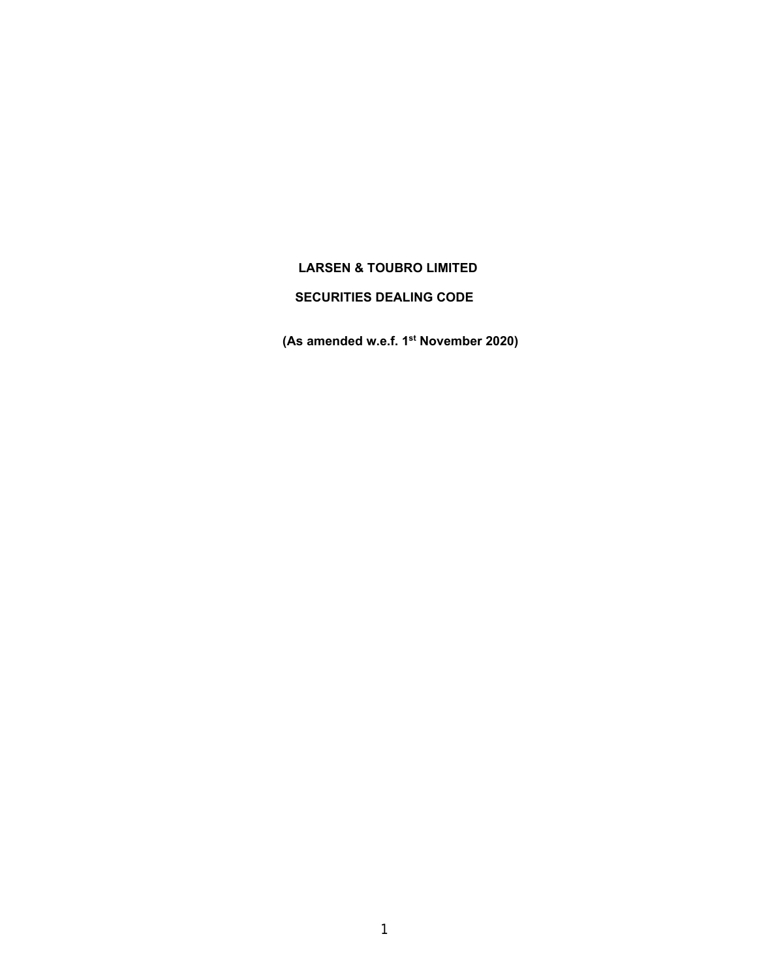# **LARSEN & TOUBRO LIMITED**

## **SECURITIES DEALING CODE**

 **(As amended w.e.f. 1st November 2020)**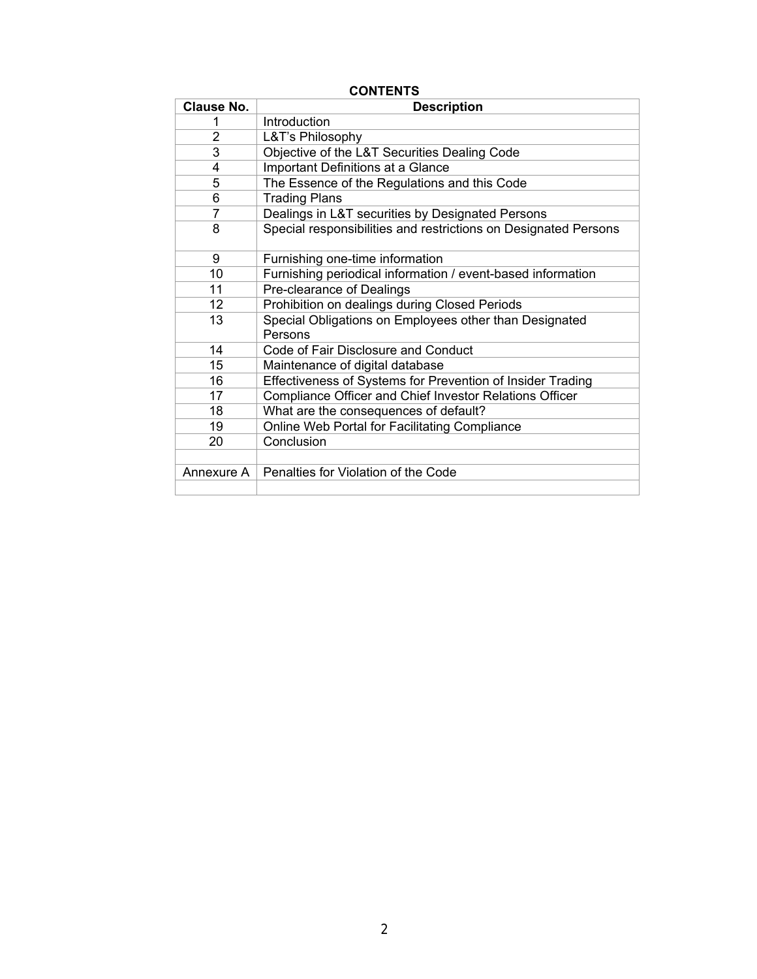| <b>Clause No.</b> | <b>Description</b>                                                |  |  |
|-------------------|-------------------------------------------------------------------|--|--|
|                   | Introduction                                                      |  |  |
| 2                 | L&T's Philosophy                                                  |  |  |
| 3                 | Objective of the L&T Securities Dealing Code                      |  |  |
| 4                 | Important Definitions at a Glance                                 |  |  |
| 5                 | The Essence of the Regulations and this Code                      |  |  |
| 6                 | <b>Trading Plans</b>                                              |  |  |
| $\overline{7}$    | Dealings in L&T securities by Designated Persons                  |  |  |
| 8                 | Special responsibilities and restrictions on Designated Persons   |  |  |
| 9                 | Furnishing one-time information                                   |  |  |
| 10                | Furnishing periodical information / event-based information       |  |  |
| 11                | Pre-clearance of Dealings                                         |  |  |
| 12                | Prohibition on dealings during Closed Periods                     |  |  |
| 13                | Special Obligations on Employees other than Designated<br>Persons |  |  |
| 14                | Code of Fair Disclosure and Conduct                               |  |  |
| 15                | Maintenance of digital database                                   |  |  |
| 16                | Effectiveness of Systems for Prevention of Insider Trading        |  |  |
| 17                | Compliance Officer and Chief Investor Relations Officer           |  |  |
| 18                | What are the consequences of default?                             |  |  |
| 19                | Online Web Portal for Facilitating Compliance                     |  |  |
| 20                | Conclusion                                                        |  |  |
|                   |                                                                   |  |  |
| Annexure A        | Penalties for Violation of the Code                               |  |  |
|                   |                                                                   |  |  |

## **CONTENTS**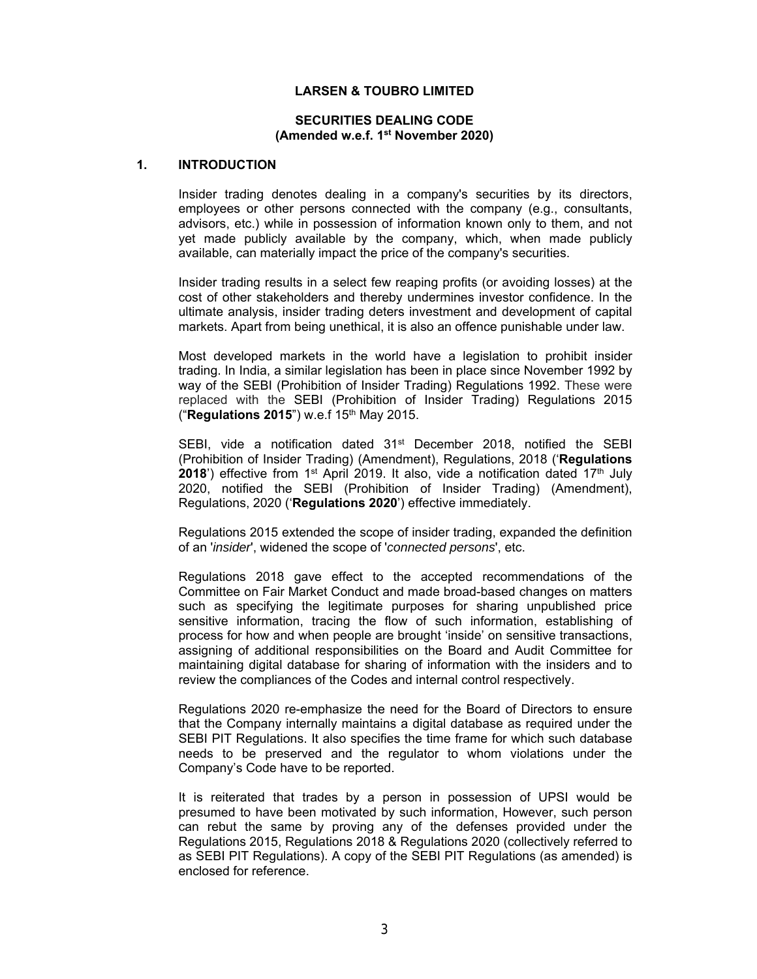#### **LARSEN & TOUBRO LIMITED**

#### **SECURITIES DEALING CODE (Amended w.e.f. 1st November 2020)**

#### **1. INTRODUCTION**

Insider trading denotes dealing in a company's securities by its directors, employees or other persons connected with the company (e.g., consultants, advisors, etc.) while in possession of information known only to them, and not yet made publicly available by the company, which, when made publicly available, can materially impact the price of the company's securities.

Insider trading results in a select few reaping profits (or avoiding losses) at the cost of other stakeholders and thereby undermines investor confidence. In the ultimate analysis, insider trading deters investment and development of capital markets. Apart from being unethical, it is also an offence punishable under law.

 Most developed markets in the world have a legislation to prohibit insider trading. In India, a similar legislation has been in place since November 1992 by way of the SEBI (Prohibition of Insider Trading) Regulations 1992. These were replaced with the SEBI (Prohibition of Insider Trading) Regulations 2015 ("**Regulations 2015**") w.e.f 15th May 2015.

SEBI, vide a notification dated  $31<sup>st</sup>$  December 2018, notified the SEBI (Prohibition of Insider Trading) (Amendment), Regulations, 2018 ('**Regulations 2018**') effective from 1<sup>st</sup> April 2019. It also, vide a notification dated 17<sup>th</sup> July 2020, notified the SEBI (Prohibition of Insider Trading) (Amendment), Regulations, 2020 ('**Regulations 2020**') effective immediately.

Regulations 2015 extended the scope of insider trading, expanded the definition of an '*insider*', widened the scope of '*connected persons*', etc.

Regulations 2018 gave effect to the accepted recommendations of the Committee on Fair Market Conduct and made broad-based changes on matters such as specifying the legitimate purposes for sharing unpublished price sensitive information, tracing the flow of such information, establishing of process for how and when people are brought 'inside' on sensitive transactions, assigning of additional responsibilities on the Board and Audit Committee for maintaining digital database for sharing of information with the insiders and to review the compliances of the Codes and internal control respectively.

Regulations 2020 re-emphasize the need for the Board of Directors to ensure that the Company internally maintains a digital database as required under the SEBI PIT Regulations. It also specifies the time frame for which such database needs to be preserved and the regulator to whom violations under the Company's Code have to be reported.

It is reiterated that trades by a person in possession of UPSI would be presumed to have been motivated by such information, However, such person can rebut the same by proving any of the defenses provided under the Regulations 2015, Regulations 2018 & Regulations 2020 (collectively referred to as SEBI PIT Regulations). A copy of the SEBI PIT Regulations (as amended) is enclosed for reference.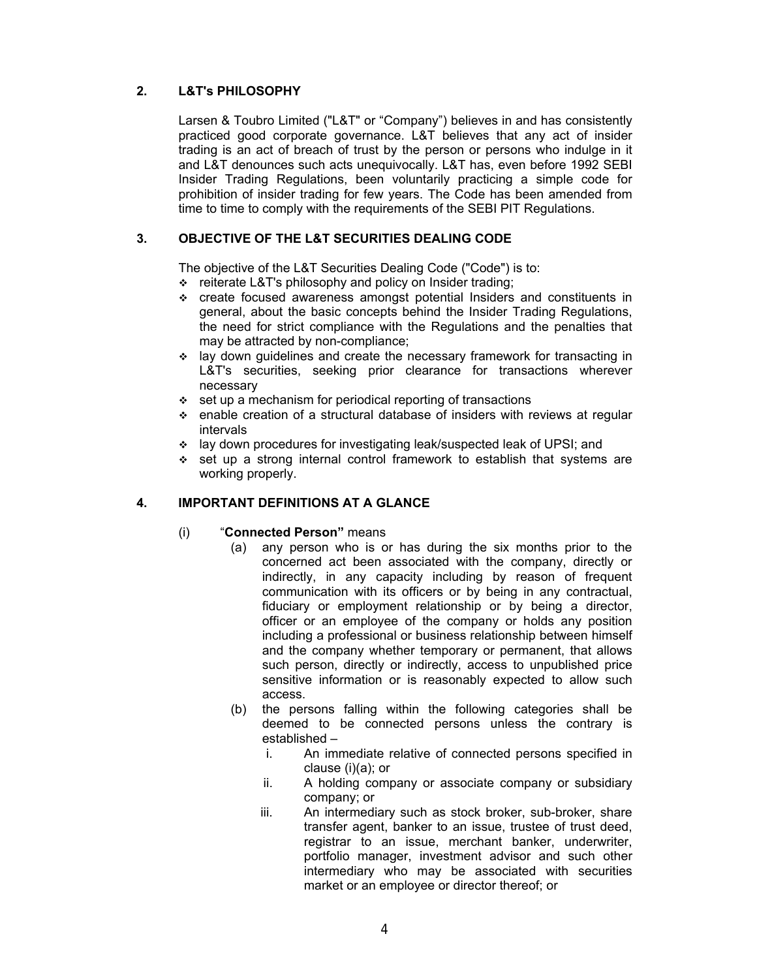## **2. L&T's PHILOSOPHY**

 Larsen & Toubro Limited ("L&T" or "Company") believes in and has consistently practiced good corporate governance. L&T believes that any act of insider trading is an act of breach of trust by the person or persons who indulge in it and L&T denounces such acts unequivocally. L&T has, even before 1992 SEBI Insider Trading Regulations, been voluntarily practicing a simple code for prohibition of insider trading for few years. The Code has been amended from time to time to comply with the requirements of the SEBI PIT Regulations.

## **3. OBJECTIVE OF THE L&T SECURITIES DEALING CODE**

The objective of the L&T Securities Dealing Code ("Code") is to:

- \* reiterate L&T's philosophy and policy on Insider trading;
- create focused awareness amongst potential Insiders and constituents in general, about the basic concepts behind the Insider Trading Regulations, the need for strict compliance with the Regulations and the penalties that may be attracted by non-compliance;
- $\div$  lay down guidelines and create the necessary framework for transacting in L&T's securities, seeking prior clearance for transactions wherever necessary
- $\div$  set up a mechanism for periodical reporting of transactions
- enable creation of a structural database of insiders with reviews at regular intervals
- lay down procedures for investigating leak/suspected leak of UPSI; and
- $\div$  set up a strong internal control framework to establish that systems are working properly.

#### **4. IMPORTANT DEFINITIONS AT A GLANCE**

#### (i) "**Connected Person"** means

- (a) any person who is or has during the six months prior to the concerned act been associated with the company, directly or indirectly, in any capacity including by reason of frequent communication with its officers or by being in any contractual, fiduciary or employment relationship or by being a director, officer or an employee of the company or holds any position including a professional or business relationship between himself and the company whether temporary or permanent, that allows such person, directly or indirectly, access to unpublished price sensitive information or is reasonably expected to allow such access.
- (b) the persons falling within the following categories shall be deemed to be connected persons unless the contrary is established –
	- i. An immediate relative of connected persons specified in clause (i)(a); or
	- ii. A holding company or associate company or subsidiary company; or
	- iii. An intermediary such as stock broker, sub-broker, share transfer agent, banker to an issue, trustee of trust deed, registrar to an issue, merchant banker, underwriter, portfolio manager, investment advisor and such other intermediary who may be associated with securities market or an employee or director thereof; or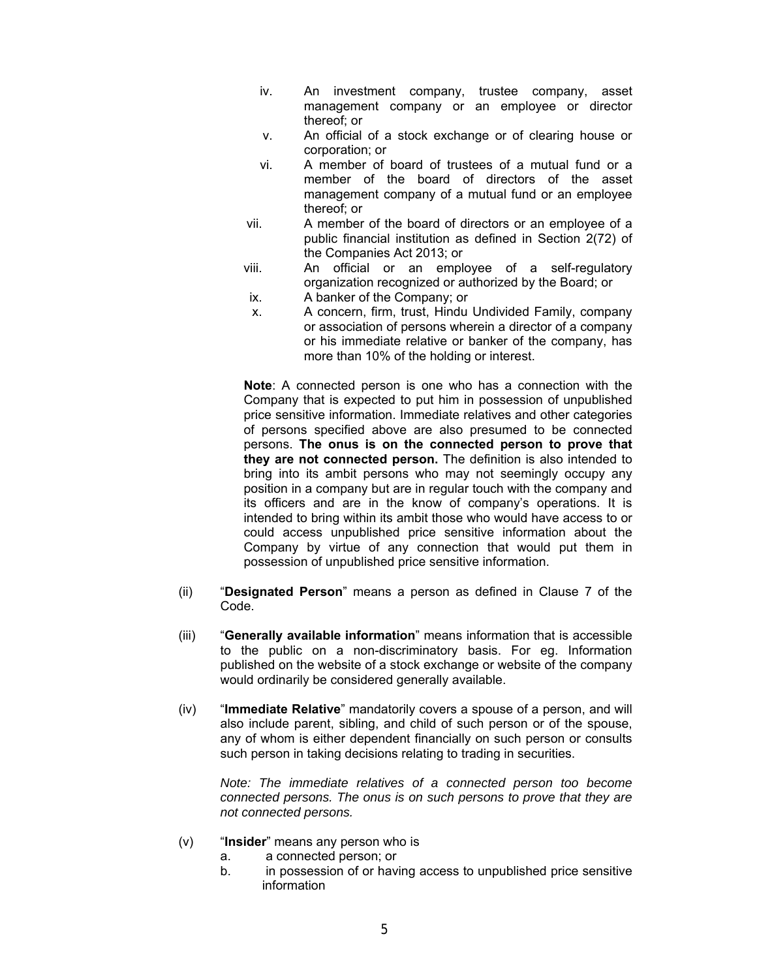- iv. An investment company, trustee company, asset management company or an employee or director thereof; or
- v. An official of a stock exchange or of clearing house or corporation; or
- vi. A member of board of trustees of a mutual fund or a member of the board of directors of the asset management company of a mutual fund or an employee thereof; or
- vii. A member of the board of directors or an employee of a public financial institution as defined in Section 2(72) of the Companies Act 2013; or
- viii. An official or an employee of a self-regulatory organization recognized or authorized by the Board; or
- ix. A banker of the Company; or
- x. A concern, firm, trust, Hindu Undivided Family, company or association of persons wherein a director of a company or his immediate relative or banker of the company, has more than 10% of the holding or interest.

**Note**: A connected person is one who has a connection with the Company that is expected to put him in possession of unpublished price sensitive information. Immediate relatives and other categories of persons specified above are also presumed to be connected persons. **The onus is on the connected person to prove that they are not connected person.** The definition is also intended to bring into its ambit persons who may not seemingly occupy any position in a company but are in regular touch with the company and its officers and are in the know of company's operations. It is intended to bring within its ambit those who would have access to or could access unpublished price sensitive information about the Company by virtue of any connection that would put them in possession of unpublished price sensitive information.

- (ii) "**Designated Person**" means a person as defined in Clause 7 of the Code.
- (iii) "**Generally available information**" means information that is accessible to the public on a non-discriminatory basis. For eg. Information published on the website of a stock exchange or website of the company would ordinarily be considered generally available.
- (iv) "**Immediate Relative**" mandatorily covers a spouse of a person, and will also include parent, sibling, and child of such person or of the spouse, any of whom is either dependent financially on such person or consults such person in taking decisions relating to trading in securities.

*Note: The immediate relatives of a connected person too become connected persons. The onus is on such persons to prove that they are not connected persons.* 

- (v) "**Insider**" means any person who is
	- a. a connected person; or
	- b. in possession of or having access to unpublished price sensitive information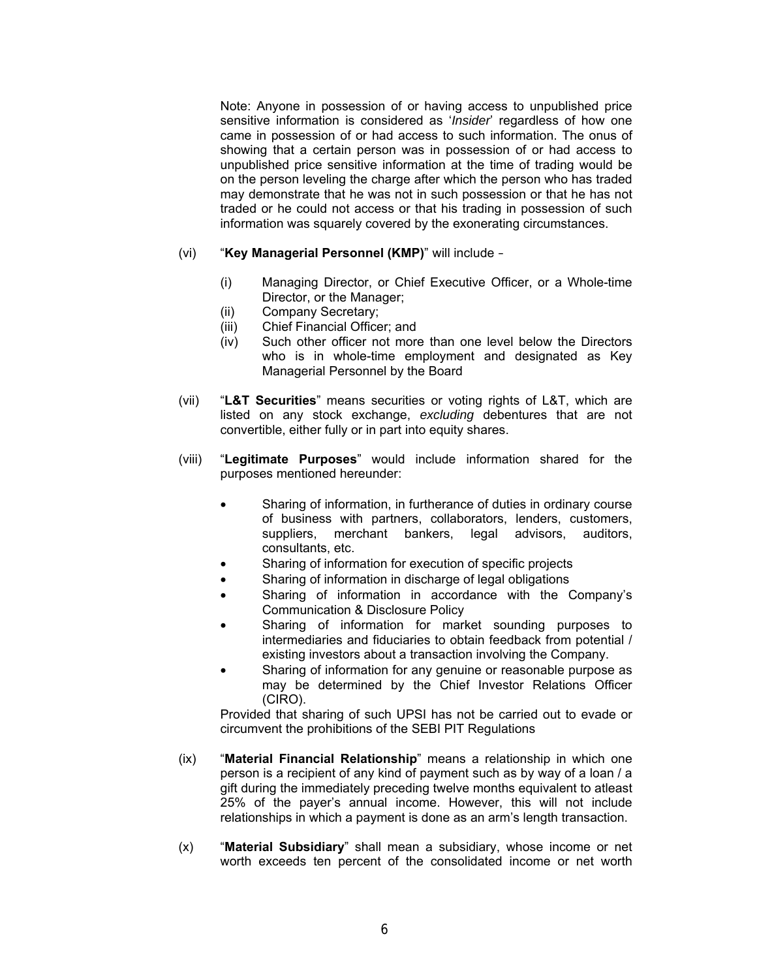Note: Anyone in possession of or having access to unpublished price sensitive information is considered as '*Insider*' regardless of how one came in possession of or had access to such information. The onus of showing that a certain person was in possession of or had access to unpublished price sensitive information at the time of trading would be on the person leveling the charge after which the person who has traded may demonstrate that he was not in such possession or that he has not traded or he could not access or that his trading in possession of such information was squarely covered by the exonerating circumstances.

- (vi) "**Key Managerial Personnel (KMP)**" will include
	- (i) Managing Director, or Chief Executive Officer, or a Whole-time Director, or the Manager;
	- (ii) Company Secretary;
	- (iii) Chief Financial Officer; and
	- (iv) Such other officer not more than one level below the Directors who is in whole-time employment and designated as Key Managerial Personnel by the Board
- (vii) "**L&T Securities**" means securities or voting rights of L&T, which are listed on any stock exchange, *excluding* debentures that are not convertible, either fully or in part into equity shares.
- (viii) "**Legitimate Purposes**" would include information shared for the purposes mentioned hereunder:
	- Sharing of information, in furtherance of duties in ordinary course of business with partners, collaborators, lenders, customers, suppliers, merchant bankers, legal advisors, auditors, consultants, etc.
	- Sharing of information for execution of specific projects
	- Sharing of information in discharge of legal obligations
	- Sharing of information in accordance with the Company's Communication & Disclosure Policy
	- Sharing of information for market sounding purposes to intermediaries and fiduciaries to obtain feedback from potential / existing investors about a transaction involving the Company.
	- Sharing of information for any genuine or reasonable purpose as may be determined by the Chief Investor Relations Officer (CIRO).

Provided that sharing of such UPSI has not be carried out to evade or circumvent the prohibitions of the SEBI PIT Regulations

- (ix) "**Material Financial Relationship**" means a relationship in which one person is a recipient of any kind of payment such as by way of a loan / a gift during the immediately preceding twelve months equivalent to atleast 25% of the payer's annual income. However, this will not include relationships in which a payment is done as an arm's length transaction.
- (x) "**Material Subsidiary**" shall mean a subsidiary, whose income or net worth exceeds ten percent of the consolidated income or net worth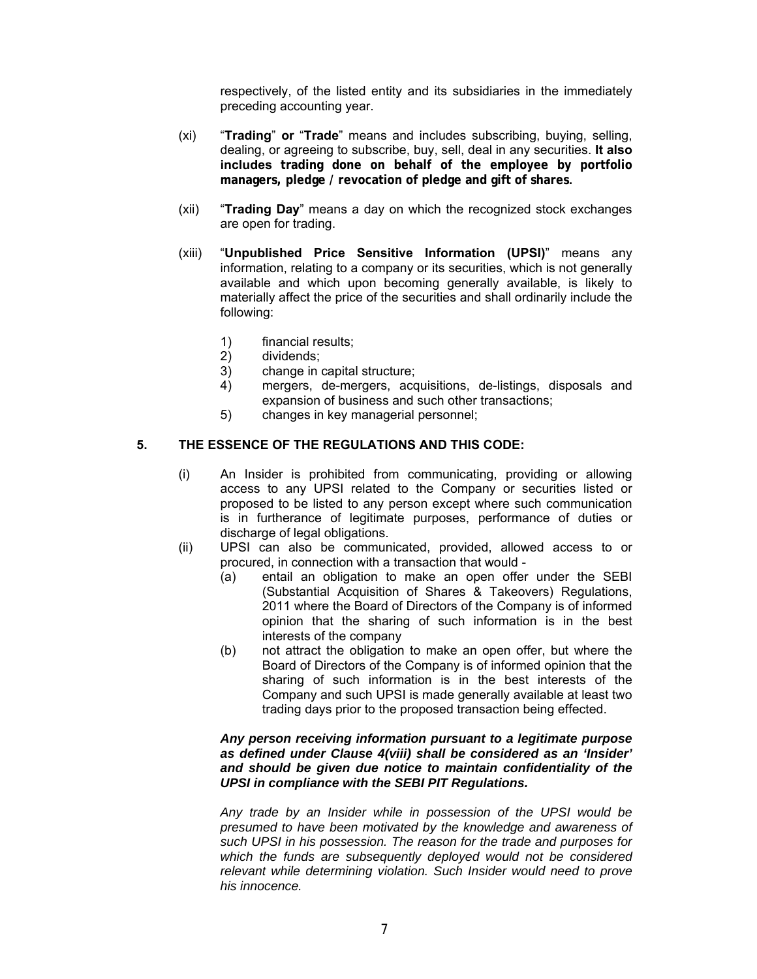respectively, of the listed entity and its subsidiaries in the immediately preceding accounting year.

- (xi) "**Trading**" **or** "**Trade**" means and includes subscribing, buying, selling, dealing, or agreeing to subscribe, buy, sell, deal in any securities. **It also includes trading done on behalf of the employee by portfolio managers, pledge / revocation of pledge and gift of shares.**
- (xii) "**Trading Day**" means a day on which the recognized stock exchanges are open for trading.
- (xiii) "**Unpublished Price Sensitive Information (UPSI)**" means any information, relating to a company or its securities, which is not generally available and which upon becoming generally available, is likely to materially affect the price of the securities and shall ordinarily include the following:
	- 1) financial results;
	- 2) dividends;
	- 3) change in capital structure;
	- 4) mergers, de-mergers, acquisitions, de-listings, disposals and expansion of business and such other transactions;
	- 5) changes in key managerial personnel;

#### **5. THE ESSENCE OF THE REGULATIONS AND THIS CODE:**

- (i) An Insider is prohibited from communicating, providing or allowing access to any UPSI related to the Company or securities listed or proposed to be listed to any person except where such communication is in furtherance of legitimate purposes, performance of duties or discharge of legal obligations.
- (ii) UPSI can also be communicated, provided, allowed access to or procured, in connection with a transaction that would -
	- (a) entail an obligation to make an open offer under the SEBI (Substantial Acquisition of Shares & Takeovers) Regulations, 2011 where the Board of Directors of the Company is of informed opinion that the sharing of such information is in the best interests of the company
	- (b) not attract the obligation to make an open offer, but where the Board of Directors of the Company is of informed opinion that the sharing of such information is in the best interests of the Company and such UPSI is made generally available at least two trading days prior to the proposed transaction being effected.

#### *Any person receiving information pursuant to a legitimate purpose as defined under Clause 4(viii) shall be considered as an 'Insider' and should be given due notice to maintain confidentiality of the UPSI in compliance with the SEBI PIT Regulations.*

*Any trade by an Insider while in possession of the UPSI would be presumed to have been motivated by the knowledge and awareness of such UPSI in his possession. The reason for the trade and purposes for which the funds are subsequently deployed would not be considered relevant while determining violation. Such Insider would need to prove his innocence.*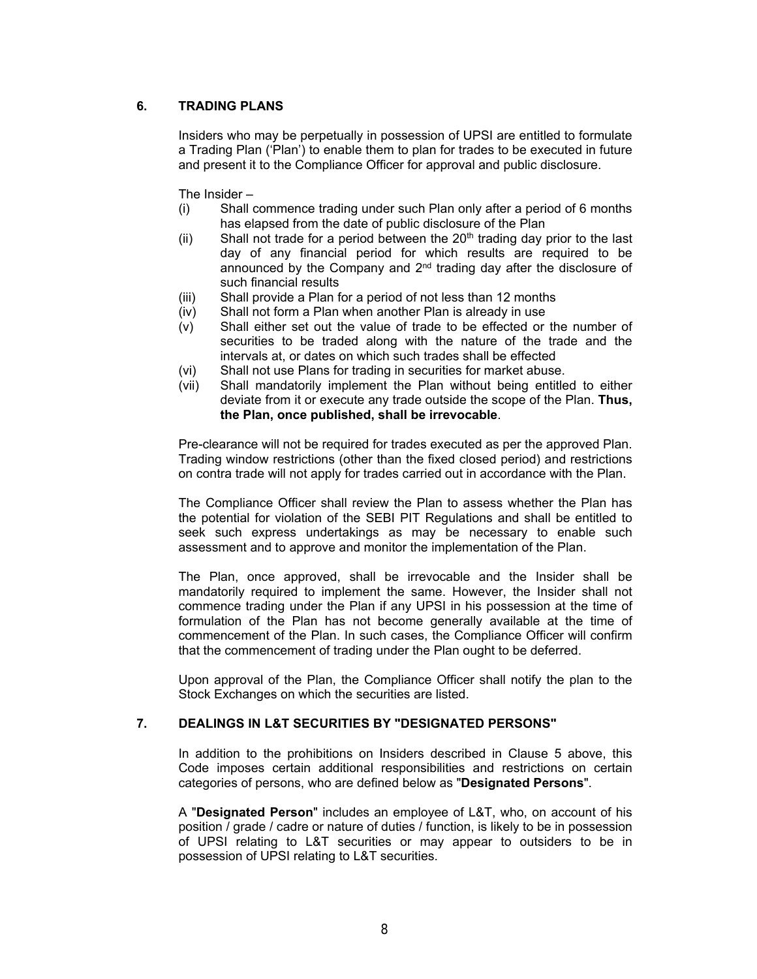## **6. TRADING PLANS**

Insiders who may be perpetually in possession of UPSI are entitled to formulate a Trading Plan ('Plan') to enable them to plan for trades to be executed in future and present it to the Compliance Officer for approval and public disclosure.

The Insider –

- (i) Shall commence trading under such Plan only after a period of 6 months has elapsed from the date of public disclosure of the Plan
- (ii) Shall not trade for a period between the  $20<sup>th</sup>$  trading day prior to the last day of any financial period for which results are required to be announced by the Company and 2<sup>nd</sup> trading day after the disclosure of such financial results
- (iii) Shall provide a Plan for a period of not less than 12 months
- (iv) Shall not form a Plan when another Plan is already in use
- (v) Shall either set out the value of trade to be effected or the number of securities to be traded along with the nature of the trade and the intervals at, or dates on which such trades shall be effected
- (vi) Shall not use Plans for trading in securities for market abuse.
- (vii) Shall mandatorily implement the Plan without being entitled to either deviate from it or execute any trade outside the scope of the Plan. **Thus, the Plan, once published, shall be irrevocable**.

Pre-clearance will not be required for trades executed as per the approved Plan. Trading window restrictions (other than the fixed closed period) and restrictions on contra trade will not apply for trades carried out in accordance with the Plan.

The Compliance Officer shall review the Plan to assess whether the Plan has the potential for violation of the SEBI PIT Regulations and shall be entitled to seek such express undertakings as may be necessary to enable such assessment and to approve and monitor the implementation of the Plan.

The Plan, once approved, shall be irrevocable and the Insider shall be mandatorily required to implement the same. However, the Insider shall not commence trading under the Plan if any UPSI in his possession at the time of formulation of the Plan has not become generally available at the time of commencement of the Plan. In such cases, the Compliance Officer will confirm that the commencement of trading under the Plan ought to be deferred.

Upon approval of the Plan, the Compliance Officer shall notify the plan to the Stock Exchanges on which the securities are listed.

#### **7. DEALINGS IN L&T SECURITIES BY "DESIGNATED PERSONS"**

In addition to the prohibitions on Insiders described in Clause 5 above, this Code imposes certain additional responsibilities and restrictions on certain categories of persons, who are defined below as "**Designated Persons**".

A "**Designated Person**" includes an employee of L&T, who, on account of his position / grade / cadre or nature of duties / function, is likely to be in possession of UPSI relating to L&T securities or may appear to outsiders to be in possession of UPSI relating to L&T securities.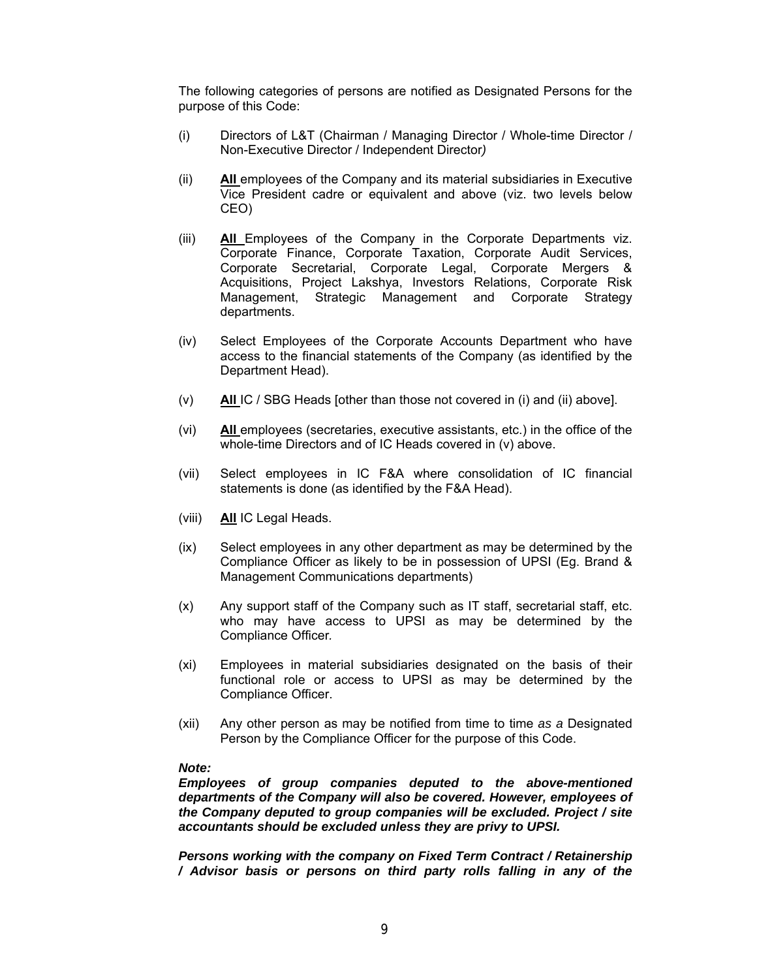The following categories of persons are notified as Designated Persons for the purpose of this Code:

- (i) Directors of L&T (Chairman / Managing Director / Whole-time Director / Non-Executive Director / Independent Director*)*
- (ii) **AII** employees of the Company and its material subsidiaries in Executive Vice President cadre or equivalent and above (viz. two levels below CEO)
- (iii) **All** Employees of the Company in the Corporate Departments viz. Corporate Finance, Corporate Taxation, Corporate Audit Services, Corporate Secretarial, Corporate Legal, Corporate Mergers & Acquisitions, Project Lakshya, Investors Relations, Corporate Risk Management, Strategic Management and Corporate Strategy departments.
- (iv) Select Employees of the Corporate Accounts Department who have access to the financial statements of the Company (as identified by the Department Head).
- (v) **All** IC / SBG Heads [other than those not covered in (i) and (ii) above].
- (vi) **All** employees (secretaries, executive assistants, etc.) in the office of the whole-time Directors and of IC Heads covered in (v) above.
- (vii) Select employees in IC F&A where consolidation of IC financial statements is done (as identified by the F&A Head).
- (viii) **All** IC Legal Heads.
- (ix) Select employees in any other department as may be determined by the Compliance Officer as likely to be in possession of UPSI (Eg. Brand & Management Communications departments)
- (x) Any support staff of the Company such as IT staff, secretarial staff, etc. who may have access to UPSI as may be determined by the Compliance Officer*.*
- (xi) Employees in material subsidiaries designated on the basis of their functional role or access to UPSI as may be determined by the Compliance Officer.
- (xii) Any other person as may be notified from time to time *as a* Designated Person by the Compliance Officer for the purpose of this Code.

#### *Note:*

*Employees of group companies deputed to the above-mentioned departments of the Company will also be covered. However, employees of the Company deputed to group companies will be excluded. Project / site accountants should be excluded unless they are privy to UPSI.* 

*Persons working with the company on Fixed Term Contract / Retainership / Advisor basis or persons on third party rolls falling in any of the*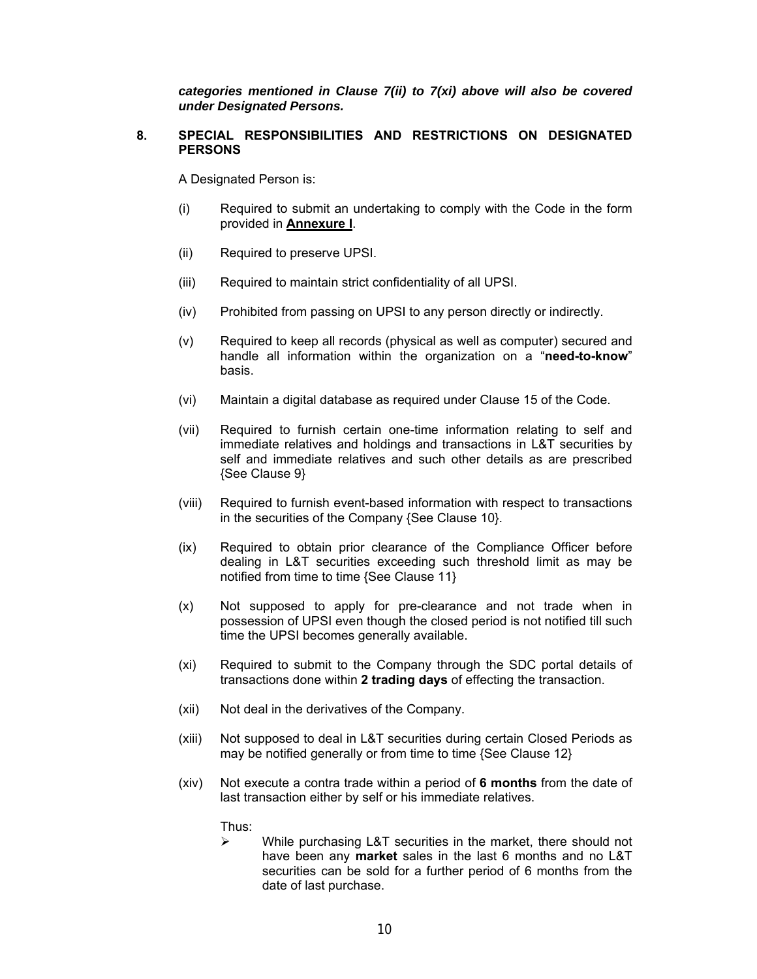*categories mentioned in Clause 7(ii) to 7(xi) above will also be covered under Designated Persons.* 

#### **8. SPECIAL RESPONSIBILITIES AND RESTRICTIONS ON DESIGNATED PERSONS**

A Designated Person is:

- (i) Required to submit an undertaking to comply with the Code in the form provided in **Annexure I**.
- (ii) Required to preserve UPSI.
- (iii) Required to maintain strict confidentiality of all UPSI.
- (iv) Prohibited from passing on UPSI to any person directly or indirectly.
- (v) Required to keep all records (physical as well as computer) secured and handle all information within the organization on a "**need-to-know**" basis.
- (vi) Maintain a digital database as required under Clause 15 of the Code.
- (vii) Required to furnish certain one-time information relating to self and immediate relatives and holdings and transactions in L&T securities by self and immediate relatives and such other details as are prescribed {See Clause 9}
- (viii) Required to furnish event-based information with respect to transactions in the securities of the Company {See Clause 10}.
- (ix) Required to obtain prior clearance of the Compliance Officer before dealing in L&T securities exceeding such threshold limit as may be notified from time to time {See Clause 11}
- (x) Not supposed to apply for pre-clearance and not trade when in possession of UPSI even though the closed period is not notified till such time the UPSI becomes generally available.
- (xi) Required to submit to the Company through the SDC portal details of transactions done within **2 trading days** of effecting the transaction.
- (xii) Not deal in the derivatives of the Company.
- (xiii) Not supposed to deal in L&T securities during certain Closed Periods as may be notified generally or from time to time {See Clause 12}
- (xiv) Not execute a contra trade within a period of **6 months** from the date of last transaction either by self or his immediate relatives.

Thus:

 $\triangleright$  While purchasing L&T securities in the market, there should not have been any **market** sales in the last 6 months and no L&T securities can be sold for a further period of 6 months from the date of last purchase.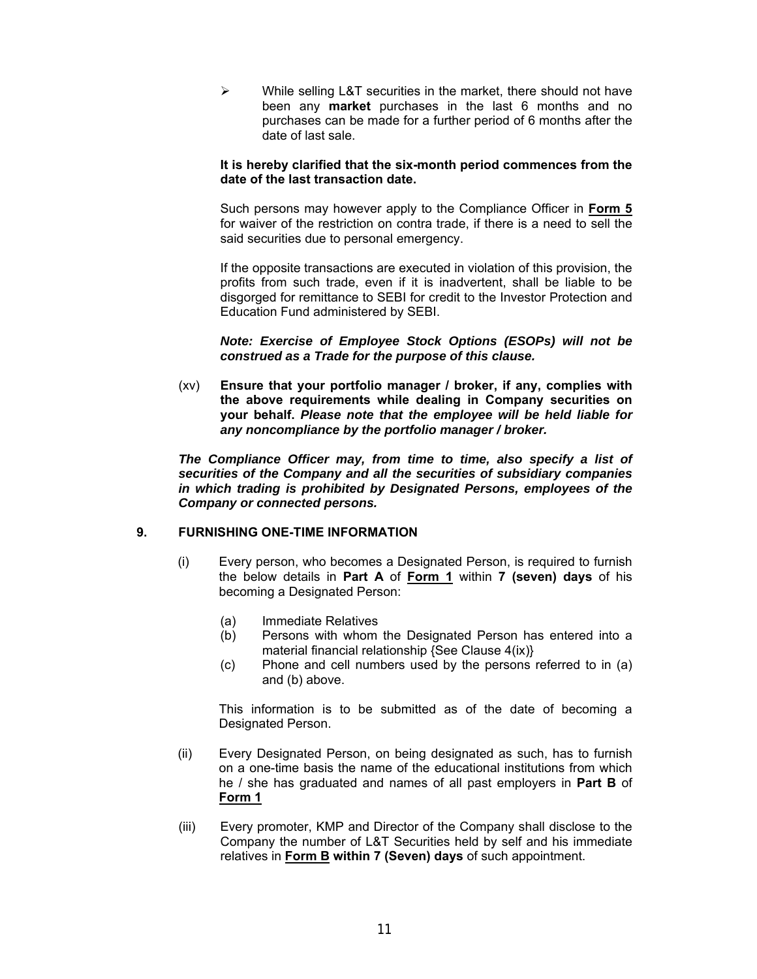$\triangleright$  While selling L&T securities in the market, there should not have been any **market** purchases in the last 6 months and no purchases can be made for a further period of 6 months after the date of last sale.

#### **It is hereby clarified that the six-month period commences from the date of the last transaction date.**

Such persons may however apply to the Compliance Officer in **Form 5** for waiver of the restriction on contra trade, if there is a need to sell the said securities due to personal emergency.

If the opposite transactions are executed in violation of this provision, the profits from such trade, even if it is inadvertent, shall be liable to be disgorged for remittance to SEBI for credit to the Investor Protection and Education Fund administered by SEBI.

*Note: Exercise of Employee Stock Options (ESOPs) will not be construed as a Trade for the purpose of this clause.*

(xv) **Ensure that your portfolio manager / broker, if any, complies with the above requirements while dealing in Company securities on your behalf.** *Please note that the employee will be held liable for any noncompliance by the portfolio manager / broker.*

*The Compliance Officer may, from time to time, also specify a list of securities of the Company and all the securities of subsidiary companies in which trading is prohibited by Designated Persons, employees of the Company or connected persons.*

#### **9. FURNISHING ONE-TIME INFORMATION**

- (i) Every person, who becomes a Designated Person, is required to furnish the below details in **Part A** of **Form 1** within **7 (seven) days** of his becoming a Designated Person:
	- (a) Immediate Relatives
	- (b) Persons with whom the Designated Person has entered into a material financial relationship {See Clause 4(ix)}
	- (c) Phone and cell numbers used by the persons referred to in (a) and (b) above.

This information is to be submitted as of the date of becoming a Designated Person.

- (ii) Every Designated Person, on being designated as such, has to furnish on a one-time basis the name of the educational institutions from which he / she has graduated and names of all past employers in **Part B** of **Form 1**
- (iii) Every promoter, KMP and Director of the Company shall disclose to the Company the number of L&T Securities held by self and his immediate relatives in **Form B within 7 (Seven) days** of such appointment.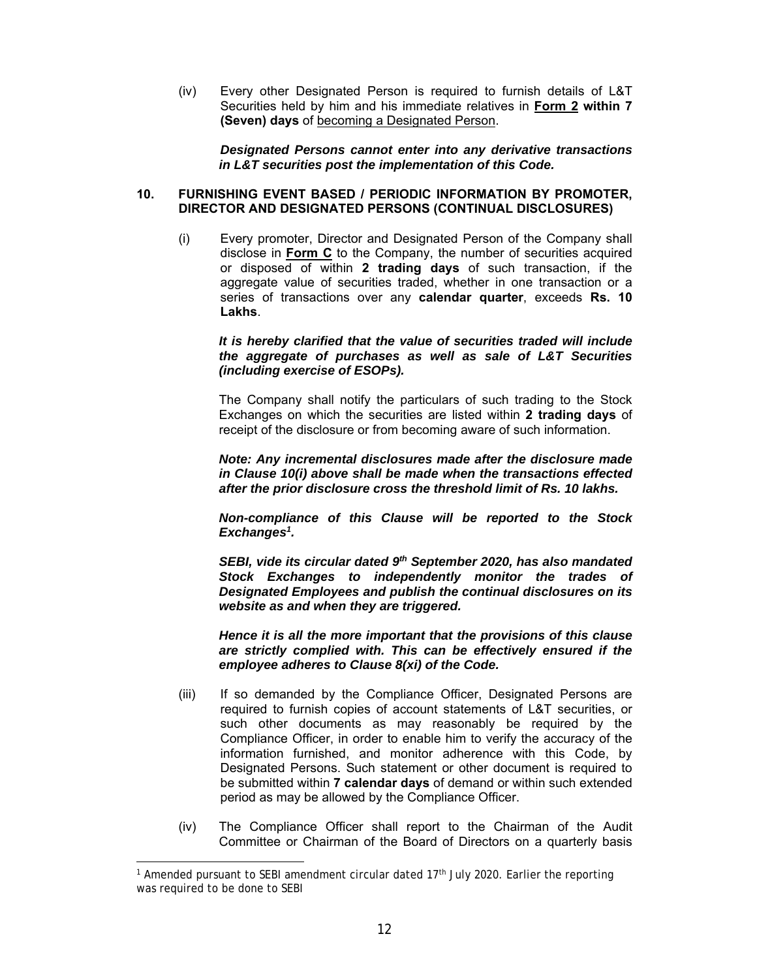(iv) Every other Designated Person is required to furnish details of L&T Securities held by him and his immediate relatives in **Form 2 within 7 (Seven) days** of becoming a Designated Person.

*Designated Persons cannot enter into any derivative transactions in L&T securities post the implementation of this Code.*

#### **10. FURNISHING EVENT BASED / PERIODIC INFORMATION BY PROMOTER, DIRECTOR AND DESIGNATED PERSONS (CONTINUAL DISCLOSURES)**

(i) Every promoter, Director and Designated Person of the Company shall disclose in **Form C** to the Company, the number of securities acquired or disposed of within **2 trading days** of such transaction, if the aggregate value of securities traded, whether in one transaction or a series of transactions over any **calendar quarter**, exceeds **Rs. 10 Lakhs**.

#### *It is hereby clarified that the value of securities traded will include the aggregate of purchases as well as sale of L&T Securities (including exercise of ESOPs).*

The Company shall notify the particulars of such trading to the Stock Exchanges on which the securities are listed within **2 trading days** of receipt of the disclosure or from becoming aware of such information.

*Note: Any incremental disclosures made after the disclosure made in Clause 10(i) above shall be made when the transactions effected after the prior disclosure cross the threshold limit of Rs. 10 lakhs.* 

*Non-compliance of this Clause will be reported to the Stock Exchanges1 .* 

SEBI, vide its circular dated 9<sup>th</sup> September 2020, has also mandated *Stock Exchanges to independently monitor the trades of Designated Employees and publish the continual disclosures on its website as and when they are triggered.* 

*Hence it is all the more important that the provisions of this clause are strictly complied with. This can be effectively ensured if the employee adheres to Clause 8(xi) of the Code.* 

- (iii) If so demanded by the Compliance Officer, Designated Persons are required to furnish copies of account statements of L&T securities, or such other documents as may reasonably be required by the Compliance Officer, in order to enable him to verify the accuracy of the information furnished, and monitor adherence with this Code, by Designated Persons. Such statement or other document is required to be submitted within **7 calendar days** of demand or within such extended period as may be allowed by the Compliance Officer.
- (iv) The Compliance Officer shall report to the Chairman of the Audit Committee or Chairman of the Board of Directors on a quarterly basis

<sup>&</sup>lt;sup>1</sup> Amended pursuant to SEBI amendment circular dated 17<sup>th</sup> July 2020. Earlier the reporting was required to be done to SEBI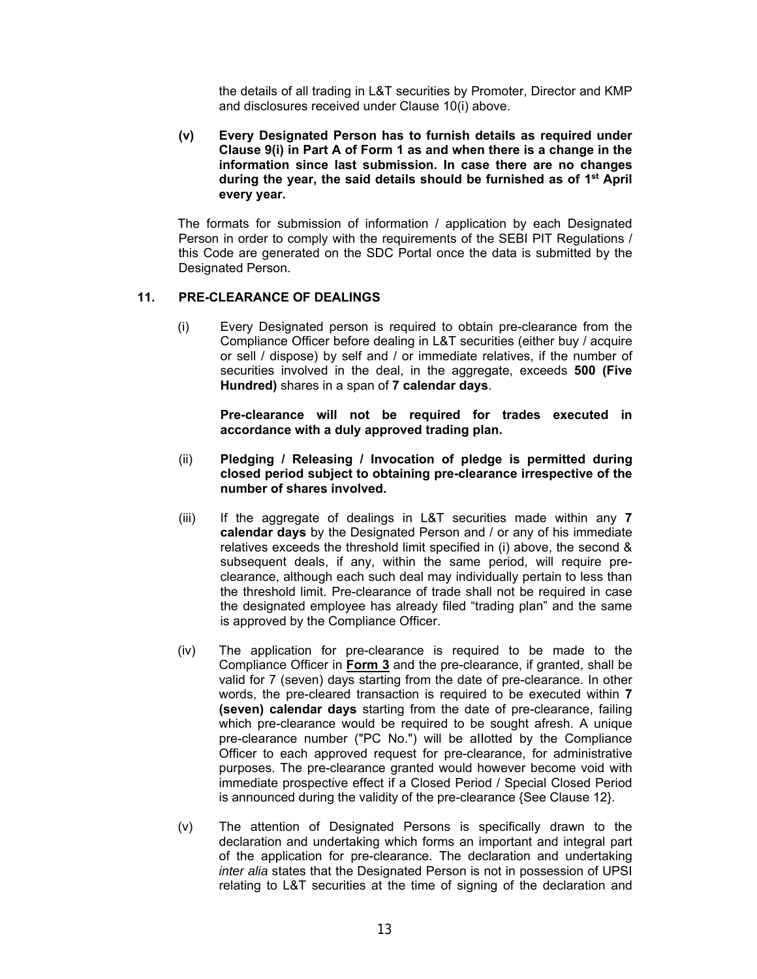the details of all trading in L&T securities by Promoter, Director and KMP and disclosures received under Clause 10(i) above.

**(v) Every Designated Person has to furnish details as required under Clause 9(i) in Part A of Form 1 as and when there is a change in the information since last submission. In case there are no changes during the year, the said details should be furnished as of 1st April every year.** 

The formats for submission of information / application by each Designated Person in order to comply with the requirements of the SEBI PIT Regulations / this Code are generated on the SDC Portal once the data is submitted by the Designated Person.

#### **11. PRE-CLEARANCE OF DEALINGS**

(i) Every Designated person is required to obtain pre-clearance from the Compliance Officer before dealing in L&T securities (either buy / acquire or sell / dispose) by self and / or immediate relatives, if the number of securities involved in the deal, in the aggregate, exceeds **500 (Five Hundred)** shares in a span of **7 calendar days**.

**Pre-clearance will not be required for trades executed in accordance with a duly approved trading plan.** 

- (ii) **Pledging / Releasing / Invocation of pledge is permitted during closed period subject to obtaining pre-clearance irrespective of the number of shares involved.**
- (iii) If the aggregate of dealings in L&T securities made within any **7 calendar days** by the Designated Person and / or any of his immediate relatives exceeds the threshold limit specified in (i) above, the second & subsequent deals, if any, within the same period, will require preclearance, although each such deal may individually pertain to less than the threshold limit. Pre-clearance of trade shall not be required in case the designated employee has already filed "trading plan" and the same is approved by the Compliance Officer.
- (iv) The application for pre-clearance is required to be made to the Compliance Officer in **Form 3** and the pre-clearance, if granted, shall be valid for 7 (seven) days starting from the date of pre-clearance. In other words, the pre-cleared transaction is required to be executed within **7 (seven) calendar days** starting from the date of pre-clearance, failing which pre-clearance would be required to be sought afresh. A unique pre-clearance number ("PC No.") will be aIIotted by the Compliance Officer to each approved request for pre-clearance, for administrative purposes. The pre-clearance granted would however become void with immediate prospective effect if a Closed Period / Special Closed Period is announced during the validity of the pre-clearance {See Clause 12}.
- (v) The attention of Designated Persons is specifically drawn to the declaration and undertaking which forms an important and integral part of the application for pre-clearance. The declaration and undertaking *inter alia* states that the Designated Person is not in possession of UPSI relating to L&T securities at the time of signing of the declaration and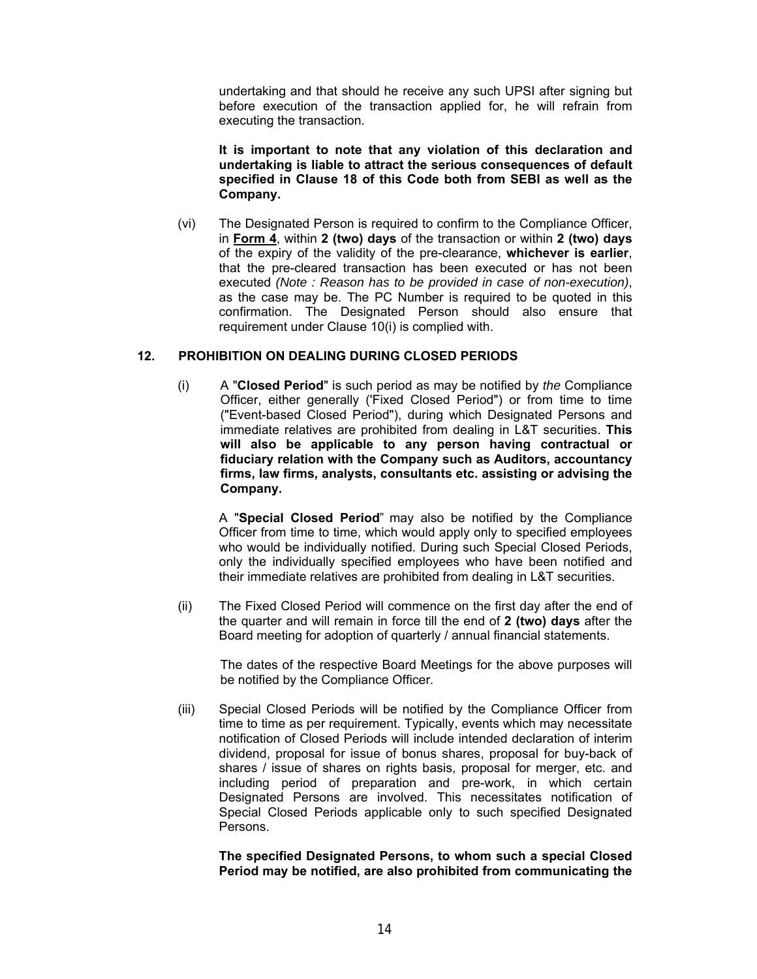undertaking and that should he receive any such UPSI after signing but before execution of the transaction applied for, he will refrain from executing the transaction.

**It is important to note that any violation of this declaration and undertaking is liable to attract the serious consequences of default specified in Clause 18 of this Code both from SEBI as well as the Company.**

(vi) The Designated Person is required to confirm to the Compliance Officer, in **Form 4**, within **2 (two) days** of the transaction or within **2 (two) days** of the expiry of the validity of the pre-clearance, **whichever is earlier**, that the pre-cleared transaction has been executed or has not been executed *(Note : Reason has to be provided in case of non-execution)*, as the case may be. The PC Number is required to be quoted in this confirmation. The Designated Person should also ensure that requirement under Clause 10(i) is complied with.

#### **12. PROHIBITION ON DEALING DURING CLOSED PERIODS**

(i) A "**Closed Period**" is such period as may be notified by *the* Compliance Officer, either generally ('Fixed Closed Period") or from time to time ("Event-based Closed Period"), during which Designated Persons and immediate relatives are prohibited from dealing in L&T securities. **This will also be applicable to any person having contractual or fiduciary relation with the Company such as Auditors, accountancy firms, law firms, analysts, consultants etc. assisting or advising the Company.**

A "**Special Closed Period**" may also be notified by the Compliance Officer from time to time, which would apply only to specified employees who would be individually notified. During such Special Closed Periods, only the individually specified employees who have been notified and their immediate relatives are prohibited from dealing in L&T securities.

(ii) The Fixed Closed Period will commence on the first day after the end of the quarter and will remain in force till the end of **2 (two) days** after the Board meeting for adoption of quarterly / annual financial statements.

The dates of the respective Board Meetings for the above purposes will be notified by the Compliance Officer.

(iii) Special Closed Periods will be notified by the Compliance Officer from time to time as per requirement. Typically, events which may necessitate notification of Closed Periods will include intended declaration of interim dividend, proposal for issue of bonus shares, proposal for buy-back of shares / issue of shares on rights basis, proposal for merger, etc. and including period of preparation and pre-work, in which certain Designated Persons are involved. This necessitates notification of Special Closed Periods applicable only to such specified Designated Persons.

**The specified Designated Persons, to whom such a special Closed Period may be notified, are also prohibited from communicating the**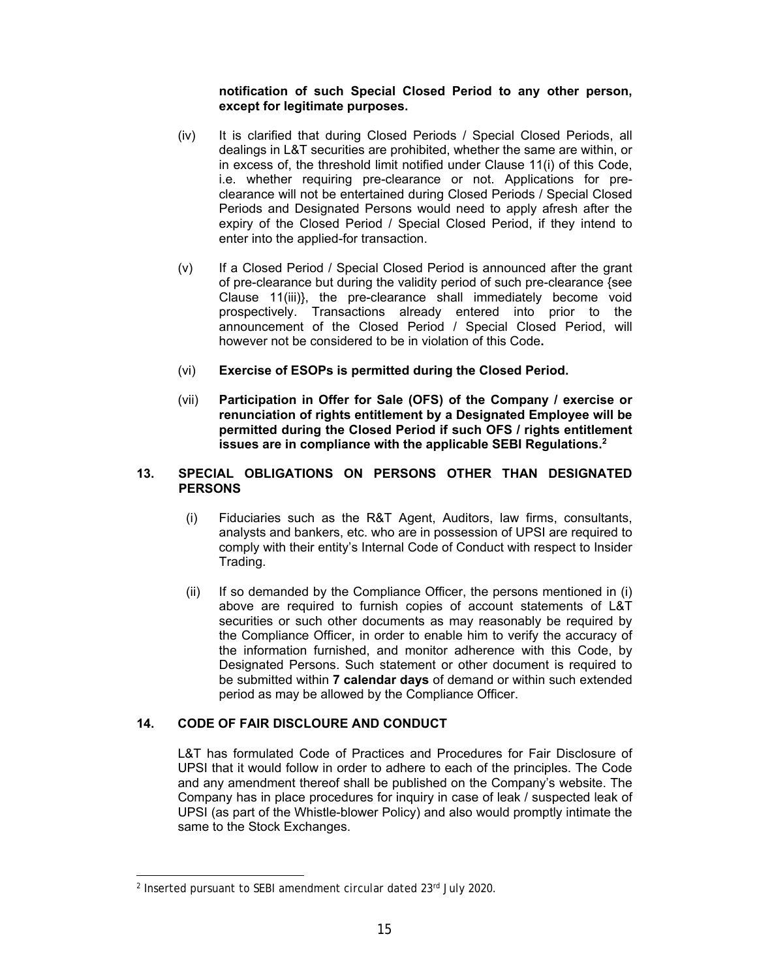#### **notification of such Special Closed Period to any other person, except for legitimate purposes.**

- (iv) It is clarified that during Closed Periods / Special Closed Periods, all dealings in L&T securities are prohibited, whether the same are within, or in excess of, the threshold limit notified under Clause 11(i) of this Code, i.e. whether requiring pre-clearance or not. Applications for preclearance will not be entertained during Closed Periods / Special Closed Periods and Designated Persons would need to apply afresh after the expiry of the Closed Period / Special Closed Period, if they intend to enter into the applied-for transaction.
- (v) If a Closed Period / Special Closed Period is announced after the grant of pre-clearance but during the validity period of such pre-clearance {see Clause 11(iii)}, the pre-clearance shall immediately become void prospectively. Transactions already entered into prior to the announcement of the Closed Period / Special Closed Period, will however not be considered to be in violation of this Code**.**
- (vi) **Exercise of ESOPs is permitted during the Closed Period.**
- (vii) **Participation in Offer for Sale (OFS) of the Company / exercise or renunciation of rights entitlement by a Designated Employee will be permitted during the Closed Period if such OFS / rights entitlement issues are in compliance with the applicable SEBI Regulations.2**

#### **13. SPECIAL OBLIGATIONS ON PERSONS OTHER THAN DESIGNATED PERSONS**

- (i) Fiduciaries such as the R&T Agent, Auditors, law firms, consultants, analysts and bankers, etc. who are in possession of UPSI are required to comply with their entity's Internal Code of Conduct with respect to Insider Trading.
- (ii) If so demanded by the Compliance Officer, the persons mentioned in (i) above are required to furnish copies of account statements of L&T securities or such other documents as may reasonably be required by the Compliance Officer, in order to enable him to verify the accuracy of the information furnished, and monitor adherence with this Code, by Designated Persons. Such statement or other document is required to be submitted within **7 calendar days** of demand or within such extended period as may be allowed by the Compliance Officer.

## **14. CODE OF FAIR DISCLOURE AND CONDUCT**

L&T has formulated Code of Practices and Procedures for Fair Disclosure of UPSI that it would follow in order to adhere to each of the principles. The Code and any amendment thereof shall be published on the Company's website. The Company has in place procedures for inquiry in case of leak / suspected leak of UPSI (as part of the Whistle-blower Policy) and also would promptly intimate the same to the Stock Exchanges.

<sup>&</sup>lt;sup>2</sup> Inserted pursuant to SEBI amendment circular dated 23rd July 2020.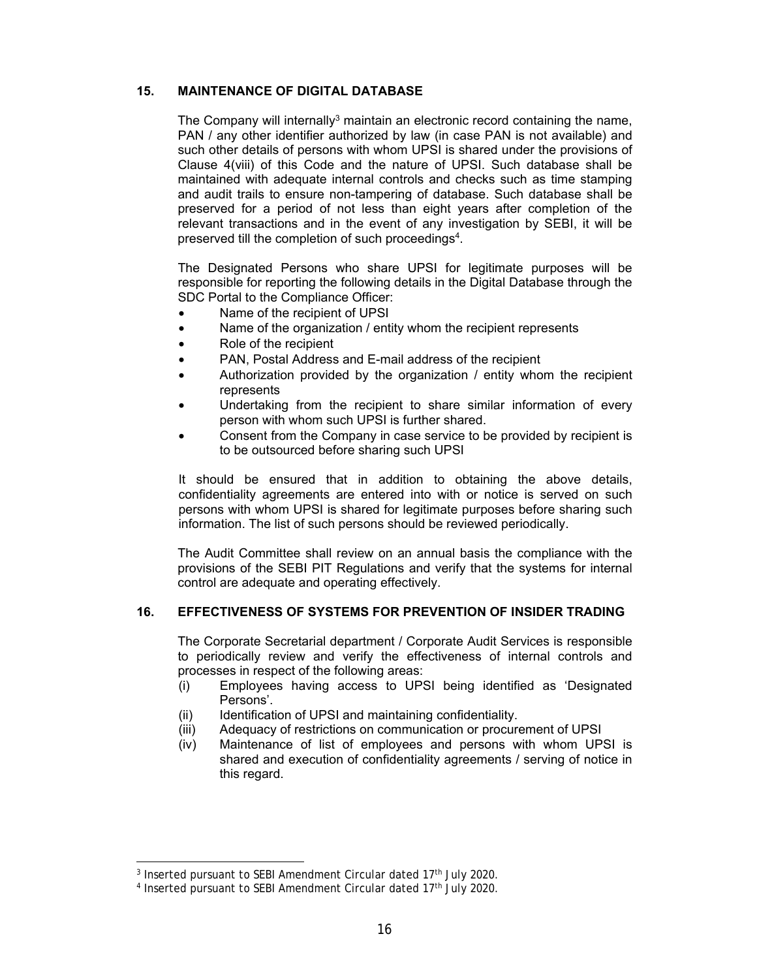#### **15. MAINTENANCE OF DIGITAL DATABASE**

The Company will internally<sup>3</sup> maintain an electronic record containing the name, PAN / any other identifier authorized by law (in case PAN is not available) and such other details of persons with whom UPSI is shared under the provisions of Clause 4(viii) of this Code and the nature of UPSI. Such database shall be maintained with adequate internal controls and checks such as time stamping and audit trails to ensure non-tampering of database. Such database shall be preserved for a period of not less than eight years after completion of the relevant transactions and in the event of any investigation by SEBI, it will be preserved till the completion of such proceedings4.

The Designated Persons who share UPSI for legitimate purposes will be responsible for reporting the following details in the Digital Database through the SDC Portal to the Compliance Officer:

- Name of the recipient of UPSI
- Name of the organization / entity whom the recipient represents
- Role of the recipient
- PAN, Postal Address and E-mail address of the recipient
- Authorization provided by the organization / entity whom the recipient represents
- Undertaking from the recipient to share similar information of every person with whom such UPSI is further shared.
- Consent from the Company in case service to be provided by recipient is to be outsourced before sharing such UPSI

It should be ensured that in addition to obtaining the above details, confidentiality agreements are entered into with or notice is served on such persons with whom UPSI is shared for legitimate purposes before sharing such information. The list of such persons should be reviewed periodically.

The Audit Committee shall review on an annual basis the compliance with the provisions of the SEBI PIT Regulations and verify that the systems for internal control are adequate and operating effectively.

#### **16. EFFECTIVENESS OF SYSTEMS FOR PREVENTION OF INSIDER TRADING**

The Corporate Secretarial department / Corporate Audit Services is responsible to periodically review and verify the effectiveness of internal controls and processes in respect of the following areas:

- (i) Employees having access to UPSI being identified as 'Designated Persons'.
- (ii) Identification of UPSI and maintaining confidentiality.
- (iii) Adequacy of restrictions on communication or procurement of UPSI
- (iv) Maintenance of list of employees and persons with whom UPSI is shared and execution of confidentiality agreements / serving of notice in this regard.

<sup>&</sup>lt;sup>3</sup> Inserted pursuant to SEBI Amendment Circular dated 17<sup>th</sup> July 2020.

<sup>&</sup>lt;sup>4</sup> Inserted pursuant to SEBI Amendment Circular dated 17<sup>th</sup> July 2020.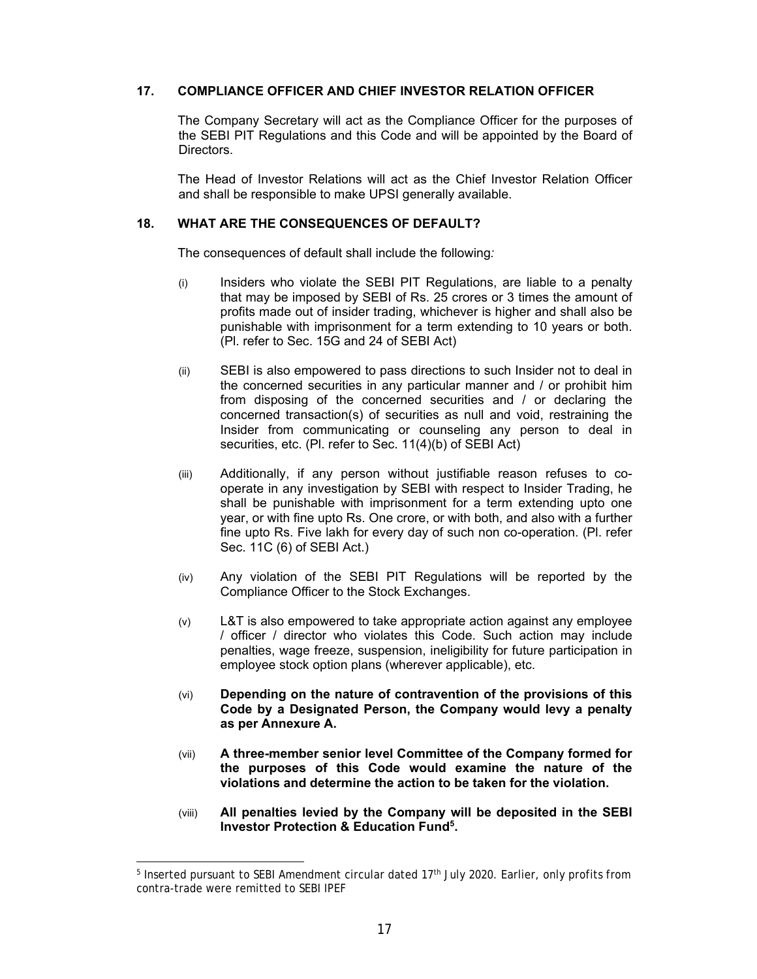#### **17. COMPLIANCE OFFICER AND CHIEF INVESTOR RELATION OFFICER**

The Company Secretary will act as the Compliance Officer for the purposes of the SEBI PIT Regulations and this Code and will be appointed by the Board of Directors.

The Head of Investor Relations will act as the Chief Investor Relation Officer and shall be responsible to make UPSI generally available.

#### **18. WHAT ARE THE CONSEQUENCES OF DEFAULT?**

The consequences of default shall include the following*:* 

- (i) Insiders who violate the SEBI PIT Regulations, are liable to a penalty that may be imposed by SEBI of Rs. 25 crores or 3 times the amount of profits made out of insider trading, whichever is higher and shall also be punishable with imprisonment for a term extending to 10 years or both. (Pl. refer to Sec. 15G and 24 of SEBI Act)
- (ii) SEBI is also empowered to pass directions to such Insider not to deal in the concerned securities in any particular manner and / or prohibit him from disposing of the concerned securities and / or declaring the concerned transaction(s) of securities as null and void, restraining the Insider from communicating or counseling any person to deal in securities, etc. (Pl. refer to Sec. 11(4)(b) of SEBI Act)
- (iii) Additionally, if any person without justifiable reason refuses to cooperate in any investigation by SEBI with respect to Insider Trading, he shall be punishable with imprisonment for a term extending upto one year, or with fine upto Rs. One crore, or with both, and also with a further fine upto Rs. Five lakh for every day of such non co-operation. (Pl. refer Sec. 11C (6) of SEBI Act.)
- (iv) Any violation of the SEBI PIT Regulations will be reported by the Compliance Officer to the Stock Exchanges.
- (v) L&T is also empowered to take appropriate action against any employee / officer / director who violates this Code. Such action may include penalties, wage freeze, suspension, ineligibility for future participation in employee stock option plans (wherever applicable), etc.
- (vi) **Depending on the nature of contravention of the provisions of this Code by a Designated Person, the Company would levy a penalty as per Annexure A.**
- (vii) **A three-member senior level Committee of the Company formed for the purposes of this Code would examine the nature of the violations and determine the action to be taken for the violation.**
- (viii) **All penalties levied by the Company will be deposited in the SEBI Investor Protection & Education Fund5 .**

<sup>&</sup>lt;sup>5</sup> Inserted pursuant to SEBI Amendment circular dated 17<sup>th</sup> July 2020. Earlier, only profits from contra-trade were remitted to SEBI IPEF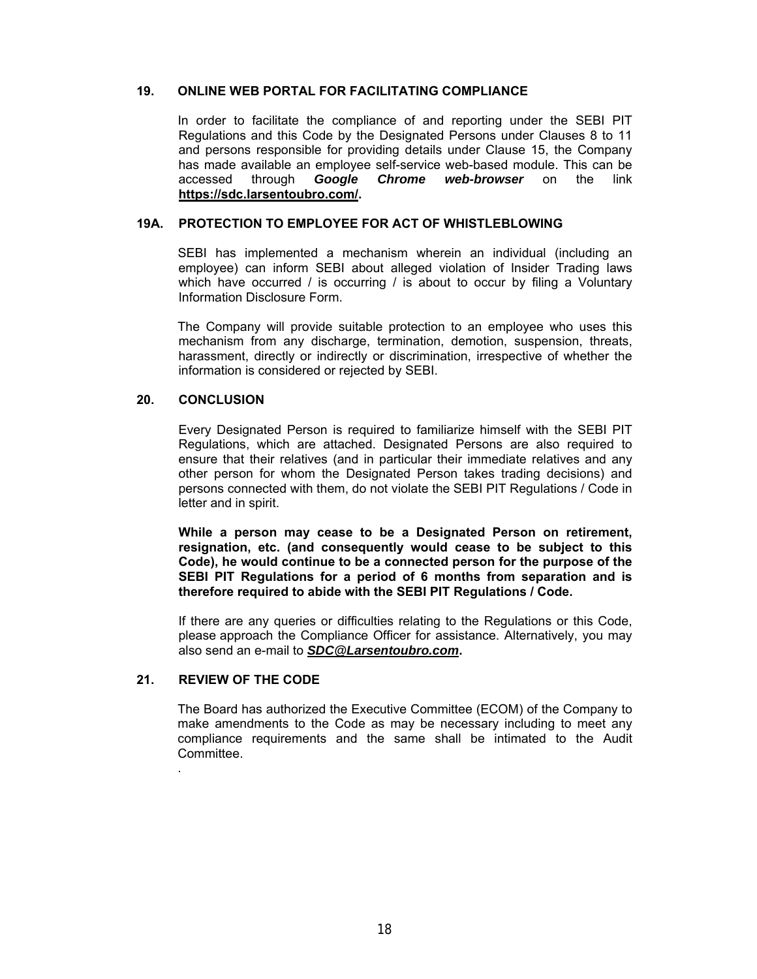#### **19. ONLINE WEB PORTAL FOR FACILITATING COMPLIANCE**

In order to facilitate the compliance of and reporting under the SEBI PIT Regulations and this Code by the Designated Persons under Clauses 8 to 11 and persons responsible for providing details under Clause 15, the Company has made available an employee self-service web-based module. This can be accessed through *Google Chrome web-browser* on the link **https://sdc.larsentoubro.com/.** 

#### **19A. PROTECTION TO EMPLOYEE FOR ACT OF WHISTLEBLOWING**

SEBI has implemented a mechanism wherein an individual (including an employee) can inform SEBI about alleged violation of Insider Trading laws which have occurred / is occurring / is about to occur by filing a Voluntary Information Disclosure Form.

The Company will provide suitable protection to an employee who uses this mechanism from any discharge, termination, demotion, suspension, threats, harassment, directly or indirectly or discrimination, irrespective of whether the information is considered or rejected by SEBI.

#### **20. CONCLUSION**

 Every Designated Person is required to familiarize himself with the SEBI PIT Regulations, which are attached. Designated Persons are also required to ensure that their relatives (and in particular their immediate relatives and any other person for whom the Designated Person takes trading decisions) and persons connected with them, do not violate the SEBI PIT Regulations / Code in letter and in spirit.

**While a person may cease to be a Designated Person on retirement, resignation, etc. (and consequently would cease to be subject to this Code), he would continue to be a connected person for the purpose of the SEBI PIT Regulations for a period of 6 months from separation and is therefore required to abide with the SEBI PIT Regulations / Code.** 

 If there are any queries or difficulties relating to the Regulations or this Code, please approach the Compliance Officer for assistance. Alternatively, you may also send an e-mail to *SDC@Larsentoubro.com***.** 

#### **21. REVIEW OF THE CODE**

.

The Board has authorized the Executive Committee (ECOM) of the Company to make amendments to the Code as may be necessary including to meet any compliance requirements and the same shall be intimated to the Audit Committee.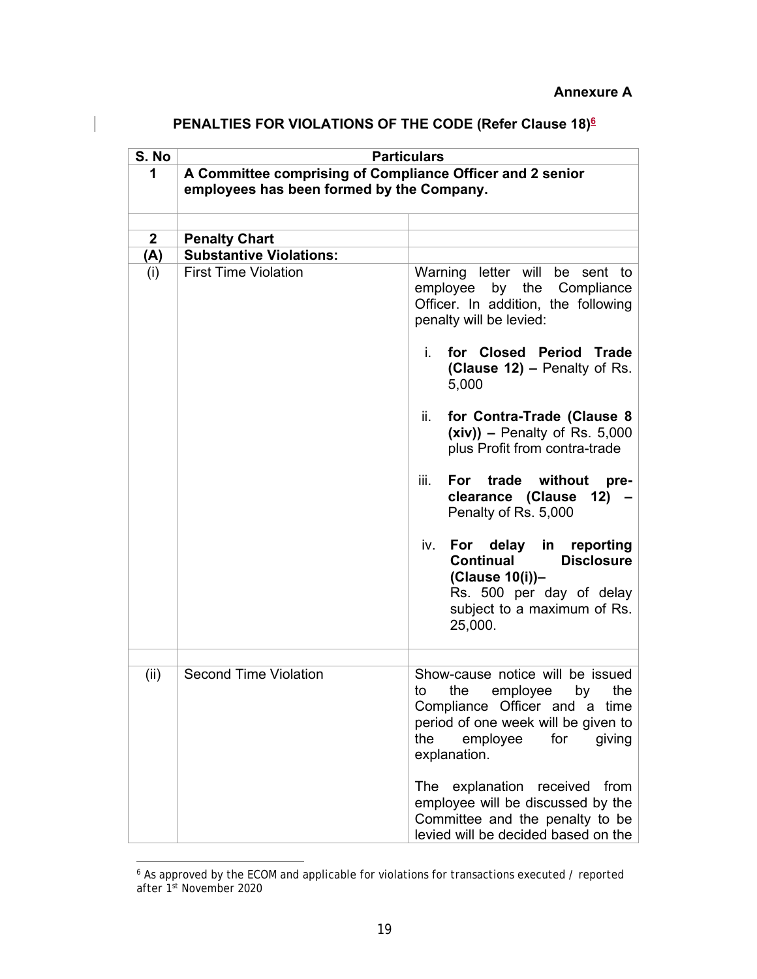| S. No        |                                                                                                        | <b>Particulars</b>                                                                                                                                                                                 |
|--------------|--------------------------------------------------------------------------------------------------------|----------------------------------------------------------------------------------------------------------------------------------------------------------------------------------------------------|
| 1            | A Committee comprising of Compliance Officer and 2 senior<br>employees has been formed by the Company. |                                                                                                                                                                                                    |
|              |                                                                                                        |                                                                                                                                                                                                    |
|              |                                                                                                        |                                                                                                                                                                                                    |
| $\mathbf{2}$ | <b>Penalty Chart</b>                                                                                   |                                                                                                                                                                                                    |
| (A)          | <b>Substantive Violations:</b>                                                                         |                                                                                                                                                                                                    |
| (i)          | <b>First Time Violation</b>                                                                            | Warning letter will<br>be sent to<br>employee<br>by<br>the Compliance<br>Officer. In addition, the following<br>penalty will be levied:                                                            |
|              |                                                                                                        | for Closed Period Trade<br>i.<br>(Clause 12) – Penalty of Rs.<br>5,000                                                                                                                             |
|              |                                                                                                        | ii.<br>for Contra-Trade (Clause 8<br>$(xiv)$ – Penalty of Rs. 5,000<br>plus Profit from contra-trade                                                                                               |
|              |                                                                                                        | For trade<br>without<br>iii.<br>pre-<br>clearance (Clause<br>$12) -$<br>Penalty of Rs. 5,000                                                                                                       |
|              |                                                                                                        | For delay in reporting<br>iv.<br><b>Disclosure</b><br>Continual<br>(Clause 10(i))-<br>Rs. 500 per day of delay<br>subject to a maximum of Rs.<br>25,000.                                           |
| (ii)         | <b>Second Time Violation</b>                                                                           | Show-cause notice will be issued<br>employee<br>the<br>the<br>to<br>by<br>Compliance Officer and a time<br>period of one week will be given to<br>the<br>employee<br>for<br>giving<br>explanation. |
|              |                                                                                                        | The explanation received from<br>employee will be discussed by the<br>Committee and the penalty to be<br>levied will be decided based on the                                                       |

## **PENALTIES FOR VIOLATIONS OF THE CODE (Refer Clause 18)6**

 $\overline{\phantom{a}}$ 

<sup>6</sup> As approved by the ECOM and applicable for violations for transactions executed / reported after 1st November 2020